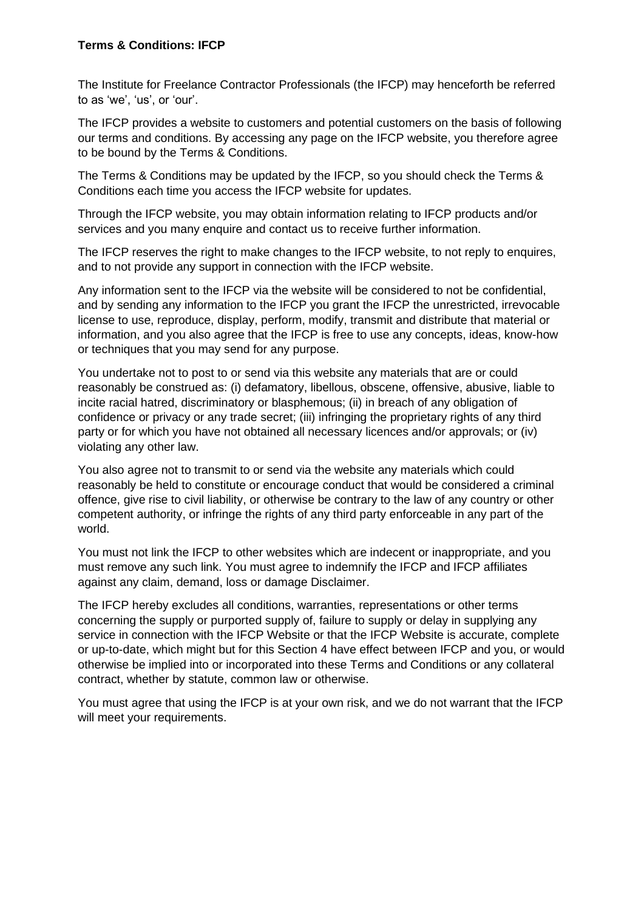## **Terms & Conditions: IFCP**

The Institute for Freelance Contractor Professionals (the IFCP) may henceforth be referred to as 'we', 'us', or 'our'.

The IFCP provides a website to customers and potential customers on the basis of following our terms and conditions. By accessing any page on the IFCP website, you therefore agree to be bound by the Terms & Conditions.

The Terms & Conditions may be updated by the IFCP, so you should check the Terms & Conditions each time you access the IFCP website for updates.

Through the IFCP website, you may obtain information relating to IFCP products and/or services and you many enquire and contact us to receive further information.

The IFCP reserves the right to make changes to the IFCP website, to not reply to enquires, and to not provide any support in connection with the IFCP website.

Any information sent to the IFCP via the website will be considered to not be confidential, and by sending any information to the IFCP you grant the IFCP the unrestricted, irrevocable license to use, reproduce, display, perform, modify, transmit and distribute that material or information, and you also agree that the IFCP is free to use any concepts, ideas, know-how or techniques that you may send for any purpose.

You undertake not to post to or send via this website any materials that are or could reasonably be construed as: (i) defamatory, libellous, obscene, offensive, abusive, liable to incite racial hatred, discriminatory or blasphemous; (ii) in breach of any obligation of confidence or privacy or any trade secret; (iii) infringing the proprietary rights of any third party or for which you have not obtained all necessary licences and/or approvals; or (iv) violating any other law.

You also agree not to transmit to or send via the website any materials which could reasonably be held to constitute or encourage conduct that would be considered a criminal offence, give rise to civil liability, or otherwise be contrary to the law of any country or other competent authority, or infringe the rights of any third party enforceable in any part of the world.

You must not link the IFCP to other websites which are indecent or inappropriate, and you must remove any such link. You must agree to indemnify the IFCP and IFCP affiliates against any claim, demand, loss or damage Disclaimer.

The IFCP hereby excludes all conditions, warranties, representations or other terms concerning the supply or purported supply of, failure to supply or delay in supplying any service in connection with the IFCP Website or that the IFCP Website is accurate, complete or up-to-date, which might but for this Section 4 have effect between IFCP and you, or would otherwise be implied into or incorporated into these Terms and Conditions or any collateral contract, whether by statute, common law or otherwise.

You must agree that using the IFCP is at your own risk, and we do not warrant that the IFCP will meet your requirements.